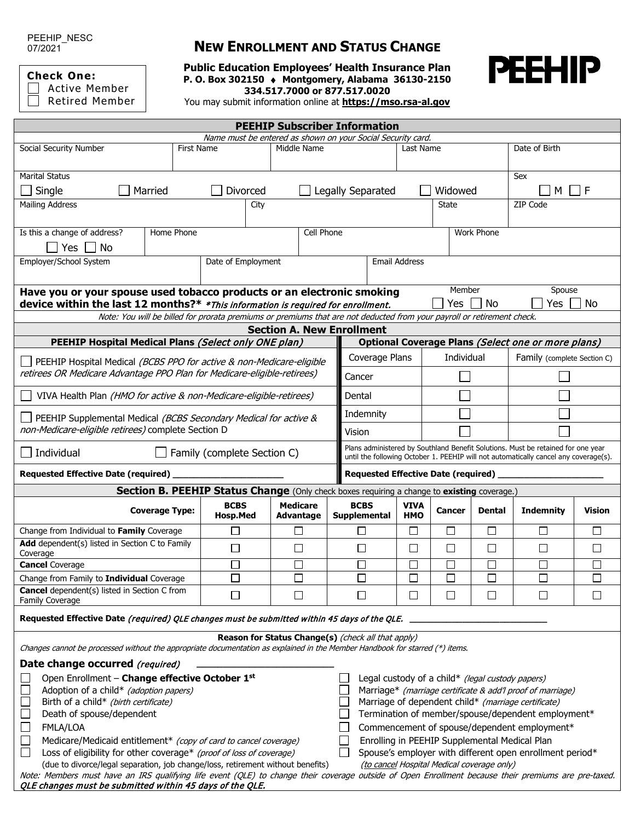PEEHIP\_NESC 07/2021

**Check One:**

Active Member Retired Member

## **NEW ENROLLMENT AND STATUS CHANGE**

**Public Education Employees' Health Insurance Plan P. O. Box 302150** ♦ **Montgomery, Alabama 36130-2150 334.517.7000 or 877.517.0020**



You may submit information online at **[https://mso.rsa-al.gov](https://mso.rsa-al.gov/)**

| <b>PEEHIP Subscriber Information</b>                                                                                                                   |                       |                                                                                                                   |                  |                                                    |                                                                                                                                                                          |              |                             |                  |               |  |  |  |
|--------------------------------------------------------------------------------------------------------------------------------------------------------|-----------------------|-------------------------------------------------------------------------------------------------------------------|------------------|----------------------------------------------------|--------------------------------------------------------------------------------------------------------------------------------------------------------------------------|--------------|-----------------------------|------------------|---------------|--|--|--|
| Name must be entered as shown on your Social Security card.                                                                                            |                       |                                                                                                                   |                  |                                                    |                                                                                                                                                                          |              |                             |                  |               |  |  |  |
| Social Security Number                                                                                                                                 |                       | First Name<br>Middle Name                                                                                         |                  |                                                    | Last Name                                                                                                                                                                |              |                             | Date of Birth    |               |  |  |  |
| <b>Marital Status</b>                                                                                                                                  |                       |                                                                                                                   |                  |                                                    |                                                                                                                                                                          |              |                             | Sex              |               |  |  |  |
| Single                                                                                                                                                 | Married               | Divorced                                                                                                          |                  | Legally Separated                                  |                                                                                                                                                                          | Widowed      |                             | M I IF           |               |  |  |  |
| <b>Mailing Address</b>                                                                                                                                 |                       | City                                                                                                              |                  |                                                    |                                                                                                                                                                          | <b>State</b> |                             | ZIP Code         |               |  |  |  |
| Is this a change of address?                                                                                                                           | Home Phone            |                                                                                                                   | Cell Phone       |                                                    |                                                                                                                                                                          |              | Work Phone                  |                  |               |  |  |  |
| Yes    <br>No                                                                                                                                          |                       |                                                                                                                   |                  |                                                    |                                                                                                                                                                          |              |                             |                  |               |  |  |  |
| Employer/School System                                                                                                                                 |                       | Date of Employment                                                                                                |                  |                                                    | <b>Email Address</b>                                                                                                                                                     |              |                             |                  |               |  |  |  |
| Member<br>Spouse<br>Have you or your spouse used tobacco products or an electronic smoking                                                             |                       |                                                                                                                   |                  |                                                    |                                                                                                                                                                          |              |                             |                  |               |  |  |  |
| device within the last 12 months?* *This information is required for enrollment.                                                                       |                       |                                                                                                                   |                  |                                                    | Yes $\vert$<br>No                                                                                                                                                        |              |                             | Yes<br>No        |               |  |  |  |
| Note: You will be billed for prorata premiums or premiums that are not deducted from your payroll or retirement check.                                 |                       |                                                                                                                   |                  |                                                    |                                                                                                                                                                          |              |                             |                  |               |  |  |  |
| <b>Section A. New Enrollment</b>                                                                                                                       |                       |                                                                                                                   |                  |                                                    |                                                                                                                                                                          |              |                             |                  |               |  |  |  |
| PEEHIP Hospital Medical Plans (Select only ONE plan)                                                                                                   |                       |                                                                                                                   |                  |                                                    | Optional Coverage Plans (Select one or more plans)                                                                                                                       |              |                             |                  |               |  |  |  |
|                                                                                                                                                        |                       | PEEHIP Hospital Medical (BCBS PPO for active & non-Medicare-eligible                                              |                  | Coverage Plans                                     |                                                                                                                                                                          | Individual   | Family (complete Section C) |                  |               |  |  |  |
| retirees OR Medicare Advantage PPO Plan for Medicare-eligible-retirees)                                                                                |                       |                                                                                                                   |                  | Cancer<br>Dental                                   |                                                                                                                                                                          |              |                             |                  |               |  |  |  |
| VIVA Health Plan (HMO for active & non-Medicare-eligible-retirees)                                                                                     |                       |                                                                                                                   |                  |                                                    |                                                                                                                                                                          |              |                             |                  |               |  |  |  |
| PEEHIP Supplemental Medical (BCBS Secondary Medical for active &<br>non-Medicare-eligible retirees) complete Section D                                 |                       |                                                                                                                   |                  | Indemnity<br>Vision                                |                                                                                                                                                                          |              |                             |                  |               |  |  |  |
| Individual<br>$\Box$ Family (complete Section C)                                                                                                       |                       |                                                                                                                   |                  |                                                    | Plans administered by Southland Benefit Solutions. Must be retained for one year<br>until the following October 1. PEEHIP will not automatically cancel any coverage(s). |              |                             |                  |               |  |  |  |
| Requested Effective Date (required)                                                                                                                    |                       |                                                                                                                   |                  |                                                    | Requested Effective Date (required)                                                                                                                                      |              |                             |                  |               |  |  |  |
|                                                                                                                                                        |                       | Section B. PEEHIP Status Change (Only check boxes requiring a change to existing coverage.)                       |                  |                                                    |                                                                                                                                                                          |              |                             |                  |               |  |  |  |
|                                                                                                                                                        |                       | <b>BCBS</b>                                                                                                       | <b>Medicare</b>  | <b>BCBS</b>                                        | <b>VIVA</b>                                                                                                                                                              |              |                             |                  |               |  |  |  |
|                                                                                                                                                        | <b>Coverage Type:</b> | <b>Hosp.Med</b>                                                                                                   | <b>Advantage</b> | <b>Supplemental</b>                                | <b>HMO</b>                                                                                                                                                               | Cancer       | <b>Dental</b>               | <b>Indemnity</b> | <b>Vision</b> |  |  |  |
| Change from Individual to Family Coverage                                                                                                              |                       | $\Box$                                                                                                            | □                | $\Box$                                             | $\Box$                                                                                                                                                                   | $\Box$       | □                           | $\Box$           | $\Box$        |  |  |  |
| Add dependent(s) listed in Section C to Family<br>Coverage                                                                                             |                       | $\Box$                                                                                                            | $\Box$           | $\Box$                                             | □                                                                                                                                                                        | $\Box$       | $\Box$                      | $\Box$           | $\Box$        |  |  |  |
| <b>Cancel</b> Coverage                                                                                                                                 |                       | П                                                                                                                 | Π                | $\Box$                                             | □                                                                                                                                                                        | □            | $\Box$                      | $\Box$           | □             |  |  |  |
| Change from Family to Individual Coverage                                                                                                              |                       | $\Box$                                                                                                            | $\Box$           | $\Box$                                             | $\Box$                                                                                                                                                                   | $\Box$       | $\Box$                      | $\Box$           | $\Box$        |  |  |  |
| <b>Cancel</b> dependent(s) listed in Section C from<br>Family Coverage                                                                                 |                       | □                                                                                                                 | $\Box$           | $\Box$                                             | $\Box$                                                                                                                                                                   | $\Box$       | □                           | $\Box$           | $\Box$        |  |  |  |
| Requested Effective Date (required) QLE changes must be submitted within 45 days of the QLE.                                                           |                       |                                                                                                                   |                  |                                                    |                                                                                                                                                                          |              |                             |                  |               |  |  |  |
| Changes cannot be processed without the appropriate documentation as explained in the Member Handbook for starred (*) items.                           |                       |                                                                                                                   |                  | Reason for Status Change(s) (check all that apply) |                                                                                                                                                                          |              |                             |                  |               |  |  |  |
|                                                                                                                                                        |                       |                                                                                                                   |                  |                                                    |                                                                                                                                                                          |              |                             |                  |               |  |  |  |
| Date change occurred (required)                                                                                                                        |                       |                                                                                                                   |                  |                                                    |                                                                                                                                                                          |              |                             |                  |               |  |  |  |
| Open Enrollment - Change effective October 1st<br>Legal custody of a child* (legal custody papers)<br>$\Box$<br>Adoption of a child* (adoption papers) |                       |                                                                                                                   |                  |                                                    |                                                                                                                                                                          |              |                             |                  |               |  |  |  |
| Birth of a child* (birth certificate)<br>$\mathbb{R}^n$                                                                                                |                       | Marriage* (marriage certificate & add'l proof of marriage)<br>Marriage of dependent child* (marriage certificate) |                  |                                                    |                                                                                                                                                                          |              |                             |                  |               |  |  |  |
| Death of spouse/dependent<br>L                                                                                                                         |                       | Termination of member/spouse/dependent employment*                                                                |                  |                                                    |                                                                                                                                                                          |              |                             |                  |               |  |  |  |
| $\Box$<br>FMLA/LOA<br>Commencement of spouse/dependent employment*                                                                                     |                       |                                                                                                                   |                  |                                                    |                                                                                                                                                                          |              |                             |                  |               |  |  |  |
| Enrolling in PEEHIP Supplemental Medical Plan<br>$\mathbf{L}$<br>Medicare/Medicaid entitlement* (copy of card to cancel coverage)                      |                       |                                                                                                                   |                  |                                                    |                                                                                                                                                                          |              |                             |                  |               |  |  |  |
| $\mathsf{L}$<br>Loss of eligibility for other coverage* (proof of loss of coverage)<br>Spouse's employer with different open enrollment period*        |                       |                                                                                                                   |                  |                                                    |                                                                                                                                                                          |              |                             |                  |               |  |  |  |
| (due to divorce/legal separation, job change/loss, retirement without benefits)<br>(to cancel Hospital Medical coverage only)                          |                       |                                                                                                                   |                  |                                                    |                                                                                                                                                                          |              |                             |                  |               |  |  |  |
| Note: Members must have an IRS qualifying life event (QLE) to change their coverage outside of Open Enrollment because their premiums are pre-taxed.   |                       |                                                                                                                   |                  |                                                    |                                                                                                                                                                          |              |                             |                  |               |  |  |  |
| QLE changes must be submitted within 45 days of the QLE.                                                                                               |                       |                                                                                                                   |                  |                                                    |                                                                                                                                                                          |              |                             |                  |               |  |  |  |